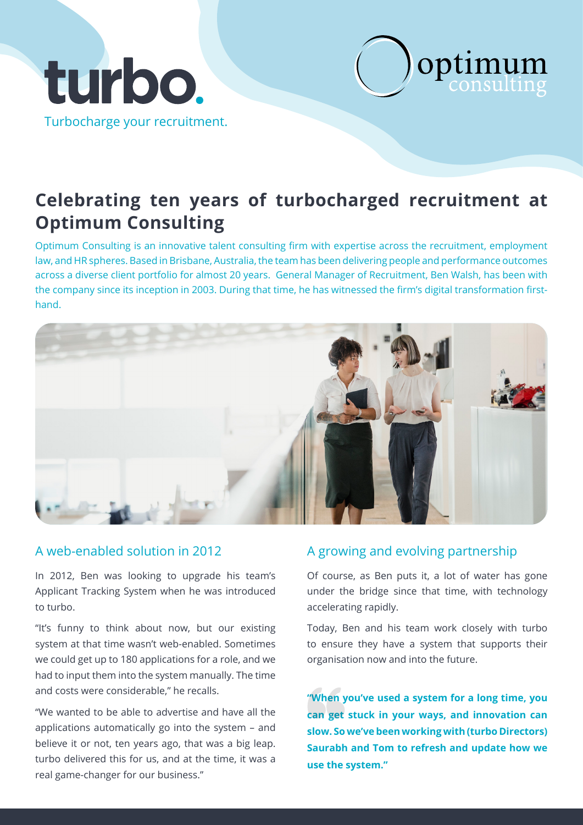



Optimum Consulting is an innovative talent consulting firm with expertise across the recruitment, employment law, and HR spheres. Based in Brisbane, Australia, the team has been delivering people and performance outcomes across a diverse client portfolio for almost 20 years. General Manager of Recruitment, Ben Walsh, has been with the company since its inception in 2003. During that time, he has witnessed the firm's digital transformation firsthand.



In 2012, Ben was looking to upgrade his team's Applicant Tracking System when he was introduced to turbo.

"It's funny to think about now, but our existing system at that time wasn't web-enabled. Sometimes we could get up to 180 applications for a role, and we had to input them into the system manually. The time and costs were considerable," he recalls.

"We wanted to be able to advertise and have all the applications automatically go into the system – and believe it or not, ten years ago, that was a big leap. turbo delivered this for us, and at the time, it was a real game-changer for our business."

## A web-enabled solution in 2012 A growing and evolving partnership

Of course, as Ben puts it, a lot of water has gone under the bridge since that time, with technology accelerating rapidly.

optimum

Today, Ben and his team work closely with turbo to ensure they have a system that supports their organisation now and into the future.

**"When you've used a system for a long time, you can get stuck in your ways, and innovation can slow. So we've been working with (turbo Directors) Saurabh and Tom to refresh and update how we use the system."**